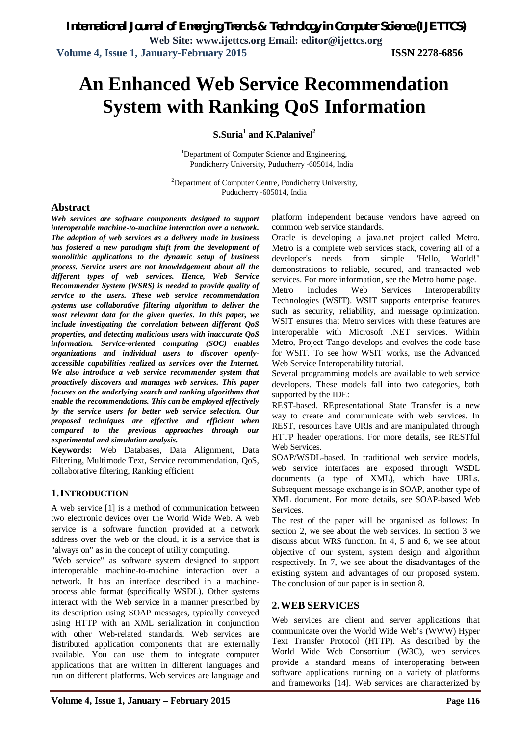# **An Enhanced Web Service Recommendation System with Ranking QoS Information**

**S.Suria<sup>1</sup> and K.Palanivel<sup>2</sup>**

<sup>1</sup>Department of Computer Science and Engineering, Pondicherry University, Puducherry -605014, India

<sup>2</sup>Department of Computer Centre, Pondicherry University, Puducherry -605014, India

### **Abstract**

*Web services are software components designed to support interoperable machine-to-machine interaction over a network. The adoption of web services as a delivery mode in business has fostered a new paradigm shift from the development of monolithic applications to the dynamic setup of business process. Service users are not knowledgement about all the different types of web services. Hence, Web Service Recommender System (WSRS) is needed to provide quality of service to the users. These web service recommendation systems use collaborative filtering algorithm to deliver the most relevant data for the given queries. In this paper, we include investigating the correlation between different QoS properties, and detecting malicious users with inaccurate QoS information. Service-oriented computing (SOC) enables organizations and individual users to discover openlyaccessible capabilities realized as services over the Internet. We also introduce a web service recommender system that proactively discovers and manages web services. This paper focuses on the underlying search and ranking algorithms that enable the recommendations. This can be employed effectively by the service users for better web service selection. Our proposed techniques are effective and efficient when compared to the previous approaches through our experimental and simulation analysis.*

**Keywords:** Web Databases, Data Alignment, Data Filtering, Multimode Text, Service recommendation, QoS, collaborative filtering, Ranking efficient

# **1.INTRODUCTION**

A web service [1] is a method of communication between two electronic devices over the World Wide Web. A web service is a software function provided at a network address over the web or the cloud, it is a service that is "always on" as in the concept of utility computing.

"Web service" as software system designed to support interoperable machine-to-machine interaction over a network. It has an interface described in a machineprocess able format (specifically WSDL). Other systems interact with the Web service in a manner prescribed by its description using SOAP messages, typically conveyed using HTTP with an XML serialization in conjunction with other Web-related standards. Web services are distributed application components that are externally available. You can use them to integrate computer applications that are written in different languages and run on different platforms. Web services are language and platform independent because vendors have agreed on common web service standards.

Oracle is developing a java.net project called Metro. Metro is a complete web services stack, covering all of a developer's needs from simple "Hello, World!" demonstrations to reliable, secured, and transacted web services. For more information, see the Metro home page.

Metro includes Web Services Interoperability Technologies (WSIT). WSIT supports enterprise features such as security, reliability, and message optimization. WSIT ensures that Metro services with these features are interoperable with Microsoft .NET services. Within Metro, Project Tango develops and evolves the code base for WSIT. To see how WSIT works, use the Advanced Web Service Interoperability tutorial.

Several programming models are available to web service developers. These models fall into two categories, both supported by the IDE:

REST-based. REpresentational State Transfer is a new way to create and communicate with web services. In REST, resources have URIs and are manipulated through HTTP header operations. For more details, see RESTful Web Services.

SOAP/WSDL-based. In traditional web service models, web service interfaces are exposed through WSDL documents (a type of XML), which have URLs. Subsequent message exchange is in SOAP, another type of XML document. For more details, see SOAP-based Web Services.

The rest of the paper will be organised as follows: In section 2, we see about the web services. In section 3 we discuss about WRS function. In 4, 5 and 6, we see about objective of our system, system design and algorithm respectively. In 7, we see about the disadvantages of the existing system and advantages of our proposed system. The conclusion of our paper is in section 8.

# **2.WEB SERVICES**

Web services are client and server applications that communicate over the World Wide Web's (WWW) Hyper Text Transfer Protocol (HTTP). As described by the World Wide Web Consortium (W3C), web services provide a standard means of interoperating between software applications running on a variety of platforms and frameworks [14]. Web services are characterized by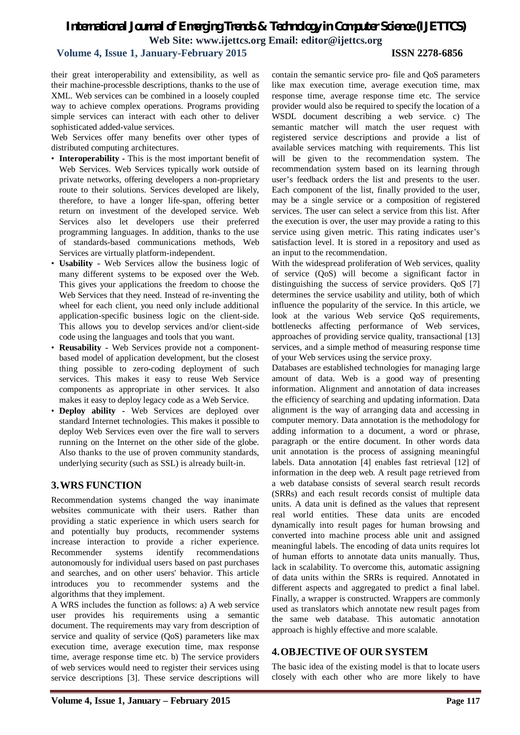# **Volume 4, Issue 1, January-February 2015 ISSN 2278-6856**

their great interoperability and extensibility, as well as their machine-processble descriptions, thanks to the use of XML. Web services can be combined in a loosely coupled way to achieve complex operations. Programs providing simple services can interact with each other to deliver sophisticated added-value services.

Web Services offer many benefits over other types of distributed computing architectures.

- **Interoperability -** This is the most important benefit of Web Services. Web Services typically work outside of private networks, offering developers a non-proprietary route to their solutions. Services developed are likely, therefore, to have a longer life-span, offering better return on investment of the developed service. Web Services also let developers use their preferred programming languages. In addition, thanks to the use of standards-based communications methods, Web Services are virtually platform-independent.
- **Usability -** Web Services allow the business logic of many different systems to be exposed over the Web. This gives your applications the freedom to choose the Web Services that they need. Instead of re-inventing the wheel for each client, you need only include additional application-specific business logic on the client-side. This allows you to develop services and/or client-side code using the languages and tools that you want.
- **Reusability -** Web Services provide not a componentbased model of application development, but the closest thing possible to zero-coding deployment of such services. This makes it easy to reuse Web Service components as appropriate in other services. It also makes it easy to deploy legacy code as a Web Service.
- **Deploy ability -** Web Services are deployed over standard Internet technologies. This makes it possible to deploy Web Services even over the fire wall to servers running on the Internet on the other side of the globe. Also thanks to the use of proven community standards, underlying security (such as SSL) is already built-in.

# **3.WRS FUNCTION**

Recommendation systems changed the way inanimate websites communicate with their users. Rather than providing a static experience in which users search for and potentially buy products, recommender systems increase interaction to provide a richer experience. Recommender systems identify recommendations autonomously for individual users based on past purchases and searches, and on other users' behavior. This article introduces you to recommender systems and the algorithms that they implement.

A WRS includes the function as follows: a) A web service user provides his requirements using a semantic document. The requirements may vary from description of service and quality of service (QoS) parameters like max execution time, average execution time, max response time, average response time etc. b) The service providers of web services would need to register their services using service descriptions [3]. These service descriptions will

contain the semantic service pro- file and QoS parameters like max execution time, average execution time, max response time, average response time etc. The service provider would also be required to specify the location of a WSDL document describing a web service. c) The semantic matcher will match the user request with registered service descriptions and provide a list of available services matching with requirements. This list will be given to the recommendation system. The recommendation system based on its learning through user's feedback orders the list and presents to the user. Each component of the list, finally provided to the user, may be a single service or a composition of registered services. The user can select a service from this list. After the execution is over, the user may provide a rating to this service using given metric. This rating indicates user's satisfaction level. It is stored in a repository and used as an input to the recommendation.

With the widespread proliferation of Web services, quality of service (QoS) will become a significant factor in distinguishing the success of service providers. QoS [7] determines the service usability and utility, both of which influence the popularity of the service. In this article, we look at the various Web service QoS requirements, bottlenecks affecting performance of Web services, approaches of providing service quality, transactional [13] services, and a simple method of measuring response time of your Web services using the service proxy.

Databases are established technologies for managing large amount of data. Web is a good way of presenting information. Alignment and annotation of data increases the efficiency of searching and updating information. Data alignment is the way of arranging data and accessing in computer memory. Data annotation is the methodology for adding information to a document, a word or phrase, paragraph or the entire document. In other words data unit annotation is the process of assigning meaningful labels. Data annotation [4] enables fast retrieval [12] of information in the deep web. A result page retrieved from a web database consists of several search result records (SRRs) and each result records consist of multiple data units. A data unit is defined as the values that represent real world entities. These data units are encoded dynamically into result pages for human browsing and converted into machine process able unit and assigned meaningful labels. The encoding of data units requires lot of human efforts to annotate data units manually. Thus, lack in scalability. To overcome this, automatic assigning of data units within the SRRs is required. Annotated in different aspects and aggregated to predict a final label. Finally, a wrapper is constructed. Wrappers are commonly used as translators which annotate new result pages from the same web database. This automatic annotation approach is highly effective and more scalable.

# **4.OBJECTIVE OF OUR SYSTEM**

The basic idea of the existing model is that to locate users closely with each other who are more likely to have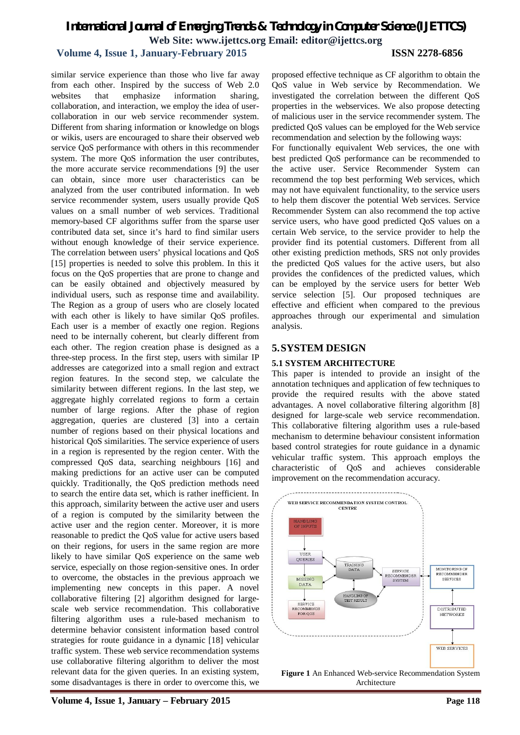# **Volume 4, Issue 1, January-February 2015 ISSN 2278-6856**

similar service experience than those who live far away from each other. Inspired by the success of Web 2.0 websites that emphasize information sharing, collaboration, and interaction, we employ the idea of usercollaboration in our web service recommender system. Different from sharing information or knowledge on blogs or wikis, users are encouraged to share their observed web service QoS performance with others in this recommender system. The more QoS information the user contributes, the more accurate service recommendations [9] the user can obtain, since more user characteristics can be analyzed from the user contributed information. In web service recommender system, users usually provide QoS values on a small number of web services. Traditional memory-based CF algorithms suffer from the sparse user contributed data set, since it's hard to find similar users without enough knowledge of their service experience. The correlation between users' physical locations and QoS [15] properties is needed to solve this problem. In this it focus on the QoS properties that are prone to change and can be easily obtained and objectively measured by individual users, such as response time and availability. The Region as a group of users who are closely located with each other is likely to have similar QoS profiles. Each user is a member of exactly one region. Regions need to be internally coherent, but clearly different from each other. The region creation phase is designed as a three-step process. In the first step, users with similar IP addresses are categorized into a small region and extract region features. In the second step, we calculate the similarity between different regions. In the last step, we aggregate highly correlated regions to form a certain number of large regions. After the phase of region aggregation, queries are clustered [3] into a certain number of regions based on their physical locations and historical QoS similarities. The service experience of users in a region is represented by the region center. With the compressed QoS data, searching neighbours [16] and making predictions for an active user can be computed quickly. Traditionally, the QoS prediction methods need to search the entire data set, which is rather inefficient. In this approach, similarity between the active user and users of a region is computed by the similarity between the active user and the region center. Moreover, it is more reasonable to predict the QoS value for active users based on their regions, for users in the same region are more likely to have similar QoS experience on the same web service, especially on those region-sensitive ones. In order to overcome, the obstacles in the previous approach we implementing new concepts in this paper. A novel collaborative filtering [2] algorithm designed for largescale web service recommendation. This collaborative filtering algorithm uses a rule-based mechanism to determine behavior consistent information based control strategies for route guidance in a dynamic [18] vehicular traffic system. These web service recommendation systems use collaborative filtering algorithm to deliver the most relevant data for the given queries. In an existing system, some disadvantages is there in order to overcome this, we

For functionally equivalent Web services, the one with best predicted QoS performance can be recommended to the active user. Service Recommender System can recommend the top best performing Web services, which may not have equivalent functionality, to the service users to help them discover the potential Web services. Service Recommender System can also recommend the top active service users, who have good predicted QoS values on a certain Web service, to the service provider to help the provider find its potential customers. Different from all other existing prediction methods, SRS not only provides the predicted QoS values for the active users, but also provides the confidences of the predicted values, which can be employed by the service users for better Web service selection [5]. Our proposed techniques are effective and efficient when compared to the previous approaches through our experimental and simulation analysis.

### **5.SYSTEM DESIGN**

#### **5.1 SYSTEM ARCHITECTURE**

This paper is intended to provide an insight of the annotation techniques and application of few techniques to provide the required results with the above stated advantages. A novel collaborative filtering algorithm [8] designed for large-scale web service recommendation. This collaborative filtering algorithm uses a rule-based mechanism to determine behaviour consistent information based control strategies for route guidance in a dynamic vehicular traffic system. This approach employs the characteristic of QoS and achieves considerable improvement on the recommendation accuracy.



**Figure 1** An Enhanced Web-service Recommendation System Architecture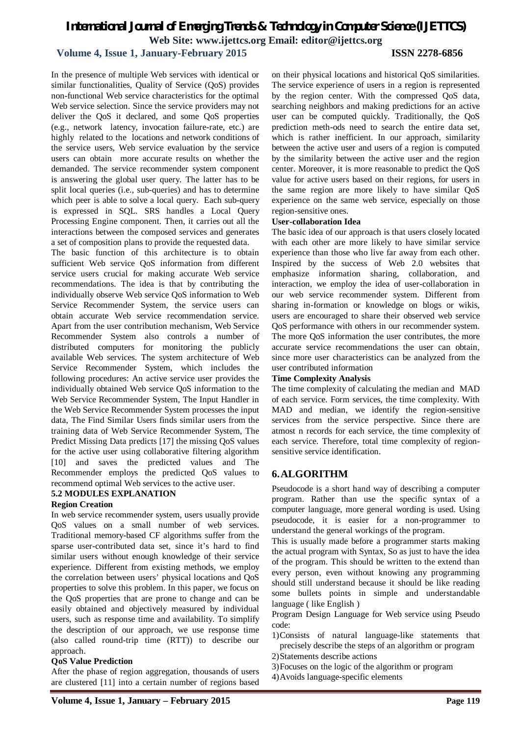# **Volume 4, Issue 1, January-February 2015 ISSN 2278-6856**

In the presence of multiple Web services with identical or similar functionalities, Quality of Service (QoS) provides non-functional Web service characteristics for the optimal Web service selection. Since the service providers may not deliver the QoS it declared, and some QoS properties (e.g., network latency, invocation failure-rate, etc.) are highly related to the locations and network conditions of the service users, Web service evaluation by the service users can obtain more accurate results on whether the demanded. The service recommender system component is answering the global user query. The latter has to be split local queries (i.e., sub-queries) and has to determine which peer is able to solve a local query. Each sub-query is expressed in SQL. SRS handles a Local Query Processing Engine component. Then, it carries out all the interactions between the composed services and generates a set of composition plans to provide the requested data.

The basic function of this architecture is to obtain sufficient Web service QoS information from different service users crucial for making accurate Web service recommendations. The idea is that by contributing the individually observe Web service QoS information to Web Service Recommender System, the service users can obtain accurate Web service recommendation service. Apart from the user contribution mechanism, Web Service Recommender System also controls a number of distributed computers for monitoring the publicly available Web services. The system architecture of Web Service Recommender System, which includes the following procedures: An active service user provides the individually obtained Web service QoS information to the Web Service Recommender System, The Input Handler in the Web Service Recommender System processes the input data, The Find Similar Users finds similar users from the training data of Web Service Recommender System, The Predict Missing Data predicts [17] the missing QoS values for the active user using collaborative filtering algorithm [10] and saves the predicted values and The Recommender employs the predicted QoS values to recommend optimal Web services to the active user.

### **5.2 MODULES EXPLANATION**

#### **Region Creation**

In web service recommender system, users usually provide QoS values on a small number of web services. Traditional memory-based CF algorithms suffer from the sparse user-contributed data set, since it's hard to find similar users without enough knowledge of their service experience. Different from existing methods, we employ the correlation between users' physical locations and QoS properties to solve this problem. In this paper, we focus on the QoS properties that are prone to change and can be easily obtained and objectively measured by individual users, such as response time and availability. To simplify the description of our approach, we use response time (also called round-trip time (RTT)) to describe our approach.

#### **QoS Value Prediction**

After the phase of region aggregation, thousands of users are clustered [11] into a certain number of regions based

on their physical locations and historical QoS similarities. The service experience of users in a region is represented by the region center. With the compressed QoS data, searching neighbors and making predictions for an active user can be computed quickly. Traditionally, the QoS prediction meth-ods need to search the entire data set, which is rather inefficient. In our approach, similarity between the active user and users of a region is computed by the similarity between the active user and the region center. Moreover, it is more reasonable to predict the QoS value for active users based on their regions, for users in the same region are more likely to have similar QoS experience on the same web service, especially on those region-sensitive ones.

#### **User-collaboration Idea**

The basic idea of our approach is that users closely located with each other are more likely to have similar service experience than those who live far away from each other. Inspired by the success of Web 2.0 websites that emphasize information sharing, collaboration, and interaction, we employ the idea of user-collaboration in our web service recommender system. Different from sharing in-formation or knowledge on blogs or wikis, users are encouraged to share their observed web service QoS performance with others in our recommender system. The more QoS information the user contributes, the more accurate service recommendations the user can obtain, since more user characteristics can be analyzed from the user contributed information

#### **Time Complexity Analysis**

The time complexity of calculating the median and MAD of each service. Form services, the time complexity. With MAD and median, we identify the region-sensitive services from the service perspective. Since there are atmost n records for each service, the time complexity of each service. Therefore, total time complexity of regionsensitive service identification.

# **6.ALGORITHM**

Pseudocode is a short hand way of describing a computer program. Rather than use the specific syntax of a computer language, more general wording is used. Using pseudocode, it is easier for a non-programmer to understand the general workings of the program.

This is usually made before a programmer starts making the actual program with Syntax, So as just to have the idea of the program. This should be written to the extend than every person, even without knowing any programming should still understand because it should be like reading some bullets points in simple and understandable language ( like English )

Program Design Language for Web service using Pseudo code:

- 1)Consists of natural language-like statements that precisely describe the steps of an algorithm or program
- 2)Statements describe actions
- 3)Focuses on the logic of the algorithm or program
- 4)Avoids language-specific elements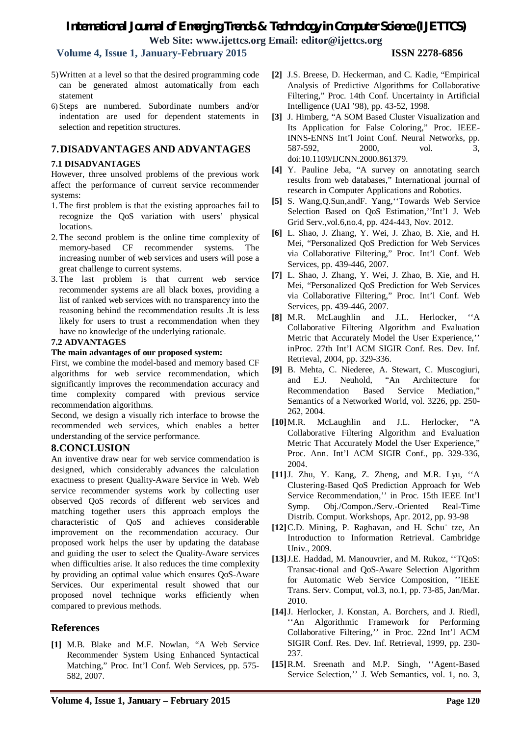# **Volume 4, Issue 1, January-February 2015 ISSN 2278-6856**

- 5)Written at a level so that the desired programming code can be generated almost automatically from each statement
- 6) Steps are numbered. Subordinate numbers and/or indentation are used for dependent statements in selection and repetition structures.

# **7.DISADVANTAGES AND ADVANTAGES**

#### **7.1 DISADVANTAGES**

However, three unsolved problems of the previous work affect the performance of current service recommender systems:

- 1. The first problem is that the existing approaches fail to recognize the QoS variation with users' physical locations.
- 2. The second problem is the online time complexity of memory-based CF recommender systems. The increasing number of web services and users will pose a great challenge to current systems.
- 3. The last problem is that current web service recommender systems are all black boxes, providing a list of ranked web services with no transparency into the reasoning behind the recommendation results .It is less likely for users to trust a recommendation when they have no knowledge of the underlying rationale.

#### **7.2 ADVANTAGES**

#### **The main advantages of our proposed system:**

First, we combine the model-based and memory based CF algorithms for web service recommendation, which significantly improves the recommendation accuracy and time complexity compared with previous service recommendation algorithms.

Second, we design a visually rich interface to browse the recommended web services, which enables a better understanding of the service performance.

### **8.CONCLUSION**

An inventive draw near for web service commendation is designed, which considerably advances the calculation exactness to present Quality-Aware Service in Web. Web service recommender systems work by collecting user observed QoS records of different web services and matching together users this approach employs the characteristic of QoS and achieves considerable improvement on the recommendation accuracy. Our proposed work helps the user by updating the database and guiding the user to select the Quality-Aware services when difficulties arise. It also reduces the time complexity by providing an optimal value which ensures QoS-Aware Services. Our experimental result showed that our proposed novel technique works efficiently when compared to previous methods.

# **References**

**[1]** M.B. Blake and M.F. Nowlan, "A Web Service Recommender System Using Enhanced Syntactical Matching," Proc. Int'l Conf. Web Services, pp. 575- 582, 2007.

- **[2]** J.S. Breese, D. Heckerman, and C. Kadie, "Empirical Analysis of Predictive Algorithms for Collaborative Filtering," Proc. 14th Conf. Uncertainty in Artificial Intelligence (UAI '98), pp. 43-52, 1998.
- **[3]** J. Himberg, "A SOM Based Cluster Visualization and Its Application for False Coloring," Proc. IEEE-INNS-ENNS Int'l Joint Conf. Neural Networks, pp. 587-592, 2000, vol. 3, doi:10.1109/IJCNN.2000.861379.
- **[4]** Y. Pauline Jeba, "A survey on annotating search results from web databases," International journal of research in Computer Applications and Robotics.
- **[5]** S. Wang,Q.Sun,andF. Yang,''Towards Web Service Selection Based on QoS Estimation,''Int'l J. Web Grid Serv.,vol.6,no.4, pp. 424-443, Nov. 2012.
- **[6]** L. Shao, J. Zhang, Y. Wei, J. Zhao, B. Xie, and H. Mei, "Personalized QoS Prediction for Web Services via Collaborative Filtering," Proc. Int'l Conf. Web Services, pp. 439-446, 2007.
- **[7]** L. Shao, J. Zhang, Y. Wei, J. Zhao, B. Xie, and H. Mei, "Personalized QoS Prediction for Web Services via Collaborative Filtering," Proc. Int'l Conf. Web Services, pp. 439-446, 2007.
- **[8]** M.R. McLaughlin and J.L. Herlocker, ''A Collaborative Filtering Algorithm and Evaluation Metric that Accurately Model the User Experience,'' inProc. 27th Int'l ACM SIGIR Conf. Res. Dev. Inf. Retrieval, 2004, pp. 329-336.
- **[9]** B. Mehta, C. Niederee, A. Stewart, C. Muscogiuri, and E.J. Neuhold, "An Architecture for Recommendation Based Service Mediation," Semantics of a Networked World, vol. 3226, pp. 250- 262, 2004.
- **[10]**M.R. McLaughlin and J.L. Herlocker, "A Collaborative Filtering Algorithm and Evaluation Metric That Accurately Model the User Experience," Proc. Ann. Int'l ACM SIGIR Conf., pp. 329-336, 2004.
- **[11]**J. Zhu, Y. Kang, Z. Zheng, and M.R. Lyu, ''A Clustering-Based QoS Prediction Approach for Web Service Recommendation,'' in Proc. 15th IEEE Int'l Symp. Obj./Compon./Serv.-Oriented Real-Time Distrib. Comput. Workshops, Apr. 2012, pp. 93-98
- **[12]**C.D. Mining, P. Raghavan, and H. Schu¨ tze, An Introduction to Information Retrieval. Cambridge Univ., 2009.
- **[13]**J.E. Haddad, M. Manouvrier, and M. Rukoz, ''TQoS: Transac-tional and QoS-Aware Selection Algorithm for Automatic Web Service Composition, ''IEEE Trans. Serv. Comput, vol.3, no.1, pp. 73-85, Jan/Mar. 2010.
- **[14]**J. Herlocker, J. Konstan, A. Borchers, and J. Riedl, ''An Algorithmic Framework for Performing Collaborative Filtering,'' in Proc. 22nd Int'l ACM SIGIR Conf. Res. Dev. Inf. Retrieval, 1999, pp. 230- 237.
- **[15]**R.M. Sreenath and M.P. Singh, ''Agent-Based Service Selection,'' J. Web Semantics, vol. 1, no. 3,